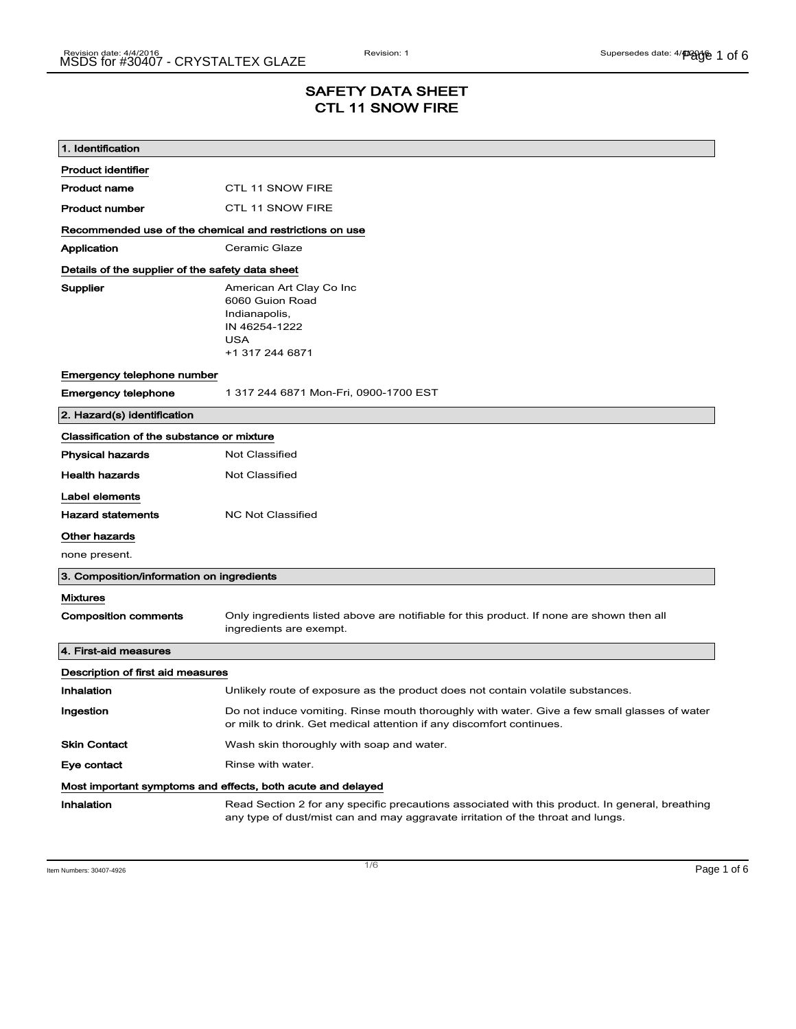# SAFETY DATA SHEET CTL 11 SNOW FIRE

| 1. Identification                                           |                                                                                                                                                                                    |  |
|-------------------------------------------------------------|------------------------------------------------------------------------------------------------------------------------------------------------------------------------------------|--|
| <b>Product identifier</b>                                   |                                                                                                                                                                                    |  |
| <b>Product name</b>                                         | <b>CTL 11 SNOW FIRE</b>                                                                                                                                                            |  |
| <b>Product number</b>                                       | <b>CTL 11 SNOW FIRE</b>                                                                                                                                                            |  |
| Recommended use of the chemical and restrictions on use     |                                                                                                                                                                                    |  |
| Application                                                 | Ceramic Glaze                                                                                                                                                                      |  |
| Details of the supplier of the safety data sheet            |                                                                                                                                                                                    |  |
| Supplier                                                    | American Art Clay Co Inc<br>6060 Guion Road                                                                                                                                        |  |
|                                                             | Indianapolis,                                                                                                                                                                      |  |
|                                                             | IN 46254-1222<br><b>USA</b>                                                                                                                                                        |  |
|                                                             | +1 317 244 6871                                                                                                                                                                    |  |
| Emergency telephone number                                  |                                                                                                                                                                                    |  |
| <b>Emergency telephone</b>                                  | 1 317 244 6871 Mon-Fri, 0900-1700 EST                                                                                                                                              |  |
| 2. Hazard(s) identification                                 |                                                                                                                                                                                    |  |
| Classification of the substance or mixture                  |                                                                                                                                                                                    |  |
| <b>Physical hazards</b>                                     | <b>Not Classified</b>                                                                                                                                                              |  |
| <b>Health hazards</b>                                       | Not Classified                                                                                                                                                                     |  |
| Label elements                                              |                                                                                                                                                                                    |  |
| <b>Hazard statements</b>                                    | <b>NC Not Classified</b>                                                                                                                                                           |  |
| Other hazards                                               |                                                                                                                                                                                    |  |
| none present.                                               |                                                                                                                                                                                    |  |
| 3. Composition/information on ingredients                   |                                                                                                                                                                                    |  |
| <b>Mixtures</b>                                             |                                                                                                                                                                                    |  |
| <b>Composition comments</b>                                 | Only ingredients listed above are notifiable for this product. If none are shown then all<br>ingredients are exempt.                                                               |  |
| 4. First-aid measures                                       |                                                                                                                                                                                    |  |
| Description of first aid measures                           |                                                                                                                                                                                    |  |
| Inhalation                                                  | Unlikely route of exposure as the product does not contain volatile substances.                                                                                                    |  |
| Ingestion                                                   | Do not induce vomiting. Rinse mouth thoroughly with water. Give a few small glasses of water<br>or milk to drink. Get medical attention if any discomfort continues.               |  |
| <b>Skin Contact</b>                                         | Wash skin thoroughly with soap and water.                                                                                                                                          |  |
| Eye contact                                                 | Rinse with water.                                                                                                                                                                  |  |
| Most important symptoms and effects, both acute and delayed |                                                                                                                                                                                    |  |
| Inhalation                                                  | Read Section 2 for any specific precautions associated with this product. In general, breathing<br>any type of dust/mist can and may aggravate irritation of the throat and lungs. |  |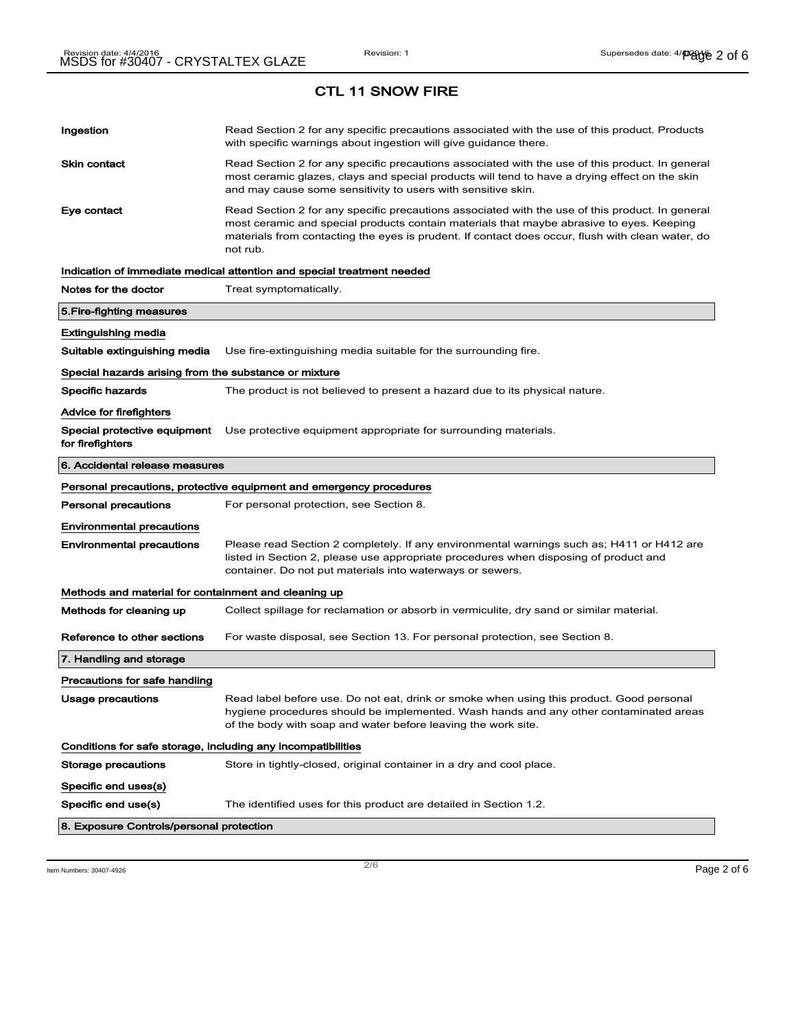| Ingestion                                                    | Read Section 2 for any specific precautions associated with the use of this product. Products<br>with specific warnings about ingestion will give guidance there.                                                                                                                                           |  |
|--------------------------------------------------------------|-------------------------------------------------------------------------------------------------------------------------------------------------------------------------------------------------------------------------------------------------------------------------------------------------------------|--|
| <b>Skin contact</b>                                          | Read Section 2 for any specific precautions associated with the use of this product. In general<br>most ceramic glazes, clays and special products will tend to have a drying effect on the skin<br>and may cause some sensitivity to users with sensitive skin.                                            |  |
| Eye contact                                                  | Read Section 2 for any specific precautions associated with the use of this product. In general<br>most ceramic and special products contain materials that maybe abrasive to eyes. Keeping<br>materials from contacting the eyes is prudent. If contact does occur, flush with clean water, do<br>not rub. |  |
|                                                              | Indication of immediate medical attention and special treatment needed                                                                                                                                                                                                                                      |  |
| Notes for the doctor                                         | Treat symptomatically.                                                                                                                                                                                                                                                                                      |  |
| 5. Fire-fighting measures                                    |                                                                                                                                                                                                                                                                                                             |  |
| Extinguishing media                                          |                                                                                                                                                                                                                                                                                                             |  |
| Suitable extinguishing media                                 | Use fire-extinguishing media suitable for the surrounding fire.                                                                                                                                                                                                                                             |  |
| Special hazards arising from the substance or mixture        |                                                                                                                                                                                                                                                                                                             |  |
| <b>Specific hazards</b>                                      | The product is not believed to present a hazard due to its physical nature.                                                                                                                                                                                                                                 |  |
| Advice for firefighters                                      |                                                                                                                                                                                                                                                                                                             |  |
| Special protective equipment<br>for firefighters             | Use protective equipment appropriate for surrounding materials.                                                                                                                                                                                                                                             |  |
| 6. Accidental release measures                               |                                                                                                                                                                                                                                                                                                             |  |
|                                                              | Personal precautions, protective equipment and emergency procedures                                                                                                                                                                                                                                         |  |
| <b>Personal precautions</b>                                  | For personal protection, see Section 8.                                                                                                                                                                                                                                                                     |  |
| <b>Environmental precautions</b>                             |                                                                                                                                                                                                                                                                                                             |  |
| <b>Environmental precautions</b>                             | Please read Section 2 completely. If any environmental warnings such as; H411 or H412 are<br>listed in Section 2, please use appropriate procedures when disposing of product and<br>container. Do not put materials into waterways or sewers.                                                              |  |
| Methods and material for containment and cleaning up         |                                                                                                                                                                                                                                                                                                             |  |
| Methods for cleaning up                                      | Collect spillage for reclamation or absorb in vermiculite, dry sand or similar material.                                                                                                                                                                                                                    |  |
| Reference to other sections                                  | For waste disposal, see Section 13. For personal protection, see Section 8.                                                                                                                                                                                                                                 |  |
| 7. Handling and storage                                      |                                                                                                                                                                                                                                                                                                             |  |
| Precautions for safe handling                                |                                                                                                                                                                                                                                                                                                             |  |
| Usage precautions                                            | Read label before use. Do not eat, drink or smoke when using this product. Good personal<br>hygiene procedures should be implemented. Wash hands and any other contaminated areas<br>of the body with soap and water before leaving the work site.                                                          |  |
| Conditions for safe storage, including any incompatibilities |                                                                                                                                                                                                                                                                                                             |  |
| <b>Storage precautions</b>                                   | Store in tightly-closed, original container in a dry and cool place.                                                                                                                                                                                                                                        |  |
| Specific end uses(s)                                         |                                                                                                                                                                                                                                                                                                             |  |
| Specific end use(s)                                          | The identified uses for this product are detailed in Section 1.2.                                                                                                                                                                                                                                           |  |
| 8. Exposure Controls/personal protection                     |                                                                                                                                                                                                                                                                                                             |  |

Item Numbers:  $30407-4926$   $Page 2 of 6$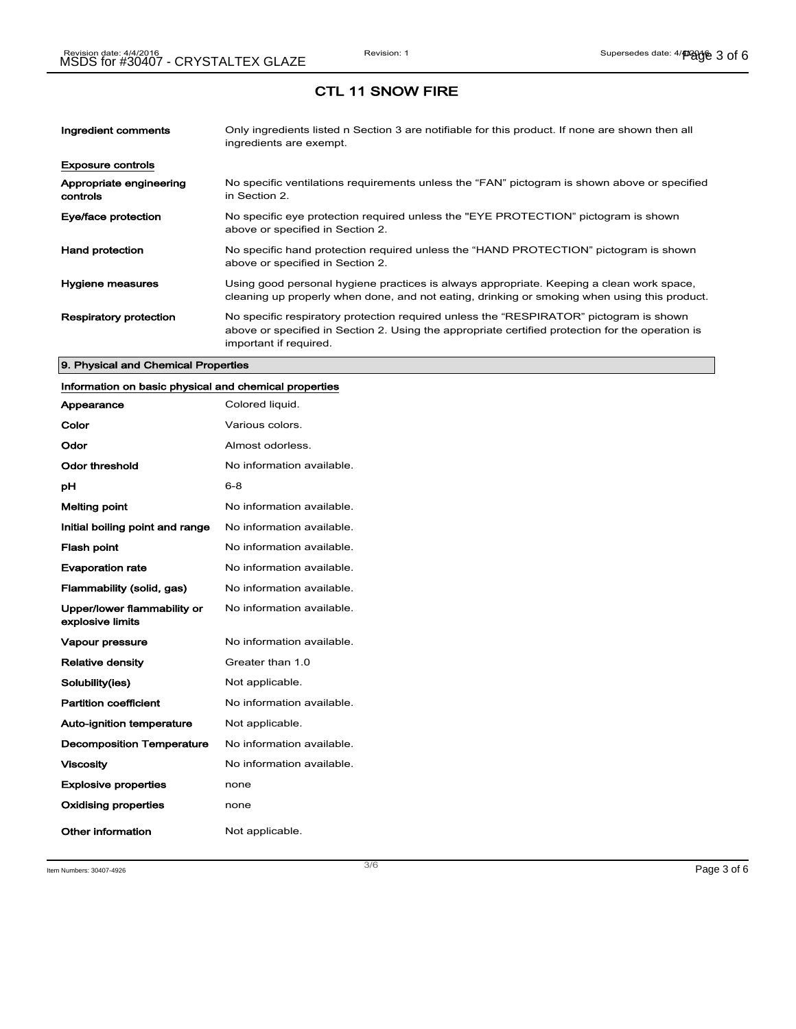| Ingredient comments                 | Only ingredients listed n Section 3 are notifiable for this product. If none are shown then all<br>ingredients are exempt.                                                                                           |
|-------------------------------------|----------------------------------------------------------------------------------------------------------------------------------------------------------------------------------------------------------------------|
| <b>Exposure controls</b>            |                                                                                                                                                                                                                      |
| Appropriate engineering<br>controls | No specific ventilations requirements unless the "FAN" pictogram is shown above or specified<br>in Section 2.                                                                                                        |
| Eye/face protection                 | No specific eye protection required unless the "EYE PROTECTION" pictogram is shown<br>above or specified in Section 2.                                                                                               |
| <b>Hand protection</b>              | No specific hand protection required unless the "HAND PROTECTION" pictogram is shown<br>above or specified in Section 2.                                                                                             |
| Hygiene measures                    | Using good personal hygiene practices is always appropriate. Keeping a clean work space,<br>cleaning up properly when done, and not eating, drinking or smoking when using this product.                             |
| <b>Respiratory protection</b>       | No specific respiratory protection required unless the "RESPIRATOR" pictogram is shown<br>above or specified in Section 2. Using the appropriate certified protection for the operation is<br>important if required. |

#### 9. Physical and Chemical Properties

## Information on basic physical and chemical properties

| Appearance                                      | Colored liquid.           |
|-------------------------------------------------|---------------------------|
| Color                                           | Various colors.           |
| Odor                                            | Almost odorless.          |
| Odor threshold                                  | No information available. |
| рH                                              | 6-8                       |
| <b>Melting point</b>                            | No information available. |
| Initial boiling point and range                 | No information available. |
| <b>Flash point</b>                              | No information available. |
| <b>Evaporation rate</b>                         | No information available. |
| Flammability (solid, gas)                       | No information available. |
| Upper/lower flammability or<br>explosive limits | No information available. |
| <b>Vapour pressure</b>                          | No information available. |
| <b>Relative density</b>                         | Greater than 1.0          |
| Solubility(ies)                                 | Not applicable.           |
| <b>Partition coefficient</b>                    | No information available. |
| <b>Auto-ignition temperature</b>                | Not applicable.           |
| <b>Decomposition Temperature</b>                | No information available. |
| <b>Viscosity</b>                                | No information available. |
| <b>Explosive properties</b>                     | none                      |
| <b>Oxidising properties</b>                     | none                      |
| Other information                               | Not applicable.           |

Item Numbers:  $30407-4926$   $Page 3 of 6$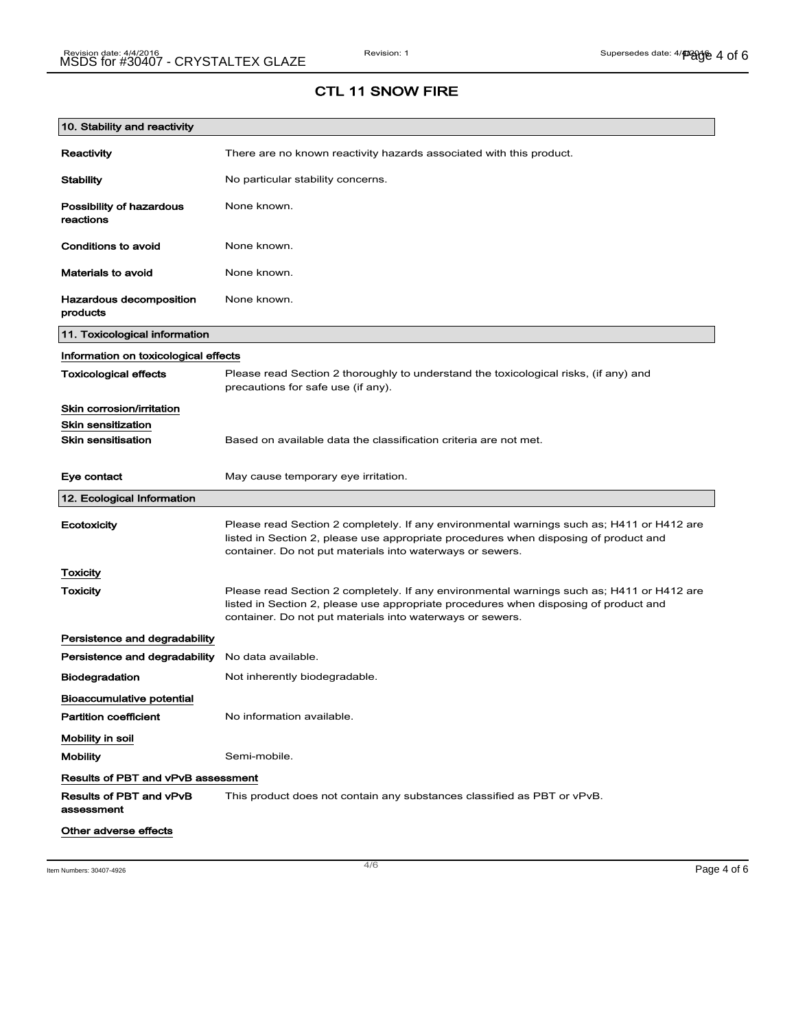| 10. Stability and reactivity               |                                                                                                                                                                                                                                                |
|--------------------------------------------|------------------------------------------------------------------------------------------------------------------------------------------------------------------------------------------------------------------------------------------------|
| Reactivity                                 | There are no known reactivity hazards associated with this product.                                                                                                                                                                            |
| <b>Stability</b>                           | No particular stability concerns.                                                                                                                                                                                                              |
| Possibility of hazardous<br>reactions      | None known.                                                                                                                                                                                                                                    |
| <b>Conditions to avoid</b>                 | None known.                                                                                                                                                                                                                                    |
| <b>Materials to avoid</b>                  | None known.                                                                                                                                                                                                                                    |
| <b>Hazardous decomposition</b><br>products | None known.                                                                                                                                                                                                                                    |
| 11. Toxicological information              |                                                                                                                                                                                                                                                |
| Information on toxicological effects       |                                                                                                                                                                                                                                                |
| <b>Toxicological effects</b>               | Please read Section 2 thoroughly to understand the toxicological risks, (if any) and<br>precautions for safe use (if any).                                                                                                                     |
| Skin corrosion/irritation                  |                                                                                                                                                                                                                                                |
| <b>Skin sensitization</b>                  |                                                                                                                                                                                                                                                |
| <b>Skin sensitisation</b>                  | Based on available data the classification criteria are not met.                                                                                                                                                                               |
| Eye contact                                | May cause temporary eye irritation.                                                                                                                                                                                                            |
| 12. Ecological Information                 |                                                                                                                                                                                                                                                |
| Ecotoxicity                                | Please read Section 2 completely. If any environmental warnings such as; H411 or H412 are<br>listed in Section 2, please use appropriate procedures when disposing of product and<br>container. Do not put materials into waterways or sewers. |
| <b>Toxicity</b>                            |                                                                                                                                                                                                                                                |
| Toxicity                                   | Please read Section 2 completely. If any environmental warnings such as; H411 or H412 are<br>listed in Section 2, please use appropriate procedures when disposing of product and<br>container. Do not put materials into waterways or sewers. |
| Persistence and degradability              |                                                                                                                                                                                                                                                |
| Persistence and degradability              | No data available.                                                                                                                                                                                                                             |
| <b>Biodegradation</b>                      | Not inherently biodegradable.                                                                                                                                                                                                                  |
| <b>Bioaccumulative potential</b>           |                                                                                                                                                                                                                                                |
| <b>Partition coefficient</b>               | No information available.                                                                                                                                                                                                                      |
| Mobility in soil                           |                                                                                                                                                                                                                                                |
| <b>Mobility</b>                            | Semi-mobile.                                                                                                                                                                                                                                   |
| <b>Results of PBT and vPvB assessment</b>  |                                                                                                                                                                                                                                                |
| Results of PBT and vPvB<br>assessment      | This product does not contain any substances classified as PBT or vPvB.                                                                                                                                                                        |
| Other adverse effects                      |                                                                                                                                                                                                                                                |

Item Numbers:  $30407-4926$   $Page 4 of 6$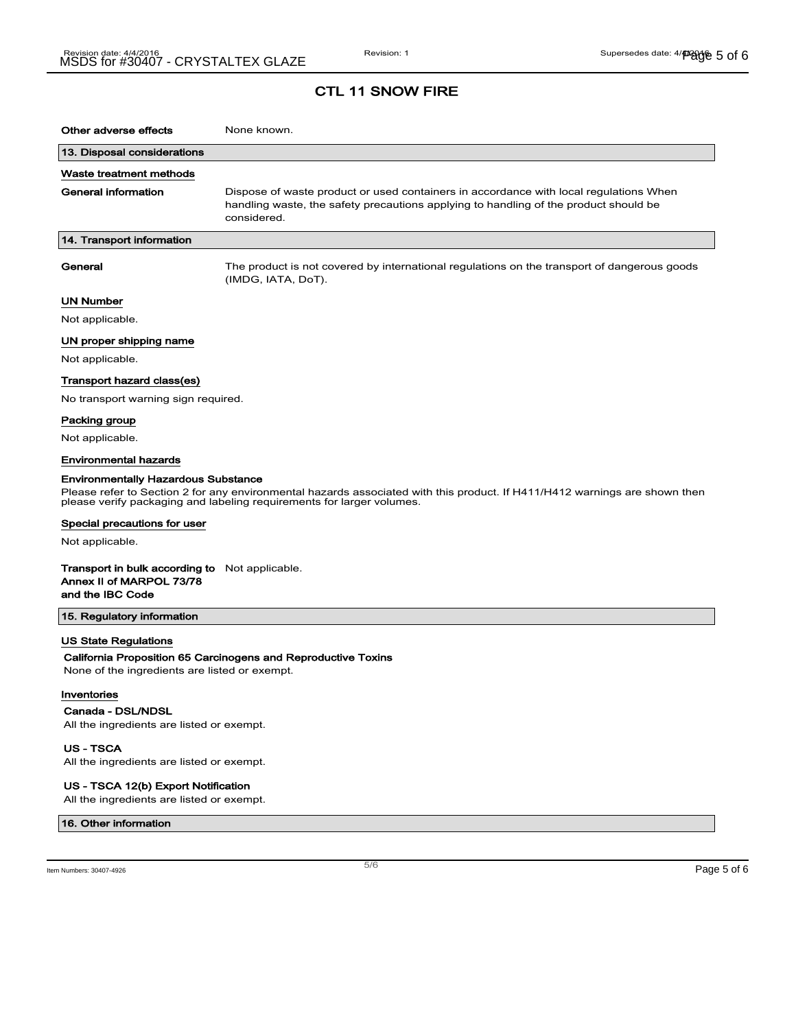### CTL 11 SNOW FIRE

| Other adverse effects                                                                                                                                                                               | None known.                                                                                                                                                                                  |  |
|-----------------------------------------------------------------------------------------------------------------------------------------------------------------------------------------------------|----------------------------------------------------------------------------------------------------------------------------------------------------------------------------------------------|--|
| 13. Disposal considerations                                                                                                                                                                         |                                                                                                                                                                                              |  |
| Waste treatment methods                                                                                                                                                                             |                                                                                                                                                                                              |  |
| General information                                                                                                                                                                                 | Dispose of waste product or used containers in accordance with local regulations When<br>handling waste, the safety precautions applying to handling of the product should be<br>considered. |  |
| 14. Transport information                                                                                                                                                                           |                                                                                                                                                                                              |  |
| General                                                                                                                                                                                             | The product is not covered by international regulations on the transport of dangerous goods<br>(IMDG, IATA, DoT).                                                                            |  |
| UN Number                                                                                                                                                                                           |                                                                                                                                                                                              |  |
| Not applicable.                                                                                                                                                                                     |                                                                                                                                                                                              |  |
| UN proper shipping name                                                                                                                                                                             |                                                                                                                                                                                              |  |
| Not applicable.                                                                                                                                                                                     |                                                                                                                                                                                              |  |
| Transport hazard class(es)                                                                                                                                                                          |                                                                                                                                                                                              |  |
| No transport warning sign required.                                                                                                                                                                 |                                                                                                                                                                                              |  |
| Packing group                                                                                                                                                                                       |                                                                                                                                                                                              |  |
| Not applicable.                                                                                                                                                                                     |                                                                                                                                                                                              |  |
| Environmental hazards                                                                                                                                                                               |                                                                                                                                                                                              |  |
| <b>Environmentally Hazardous Substance</b>                                                                                                                                                          |                                                                                                                                                                                              |  |
| Please refer to Section 2 for any environmental hazards associated with this product. If H411/H412 warnings are shown then<br>please verify packaging and labeling requirements for larger volumes. |                                                                                                                                                                                              |  |
| Special precautions for user                                                                                                                                                                        |                                                                                                                                                                                              |  |
| Not applicable.                                                                                                                                                                                     |                                                                                                                                                                                              |  |
| <b>Transport in bulk according to</b> Not applicable.<br>Annex II of MARPOL 73/78<br>and the IBC Code                                                                                               |                                                                                                                                                                                              |  |
| 15. Regulatory information                                                                                                                                                                          |                                                                                                                                                                                              |  |
| US State Regulations                                                                                                                                                                                |                                                                                                                                                                                              |  |
| California Proposition 65 Carcinogens and Reproductive Toxins                                                                                                                                       |                                                                                                                                                                                              |  |
| None of the ingredients are listed or exempt.                                                                                                                                                       |                                                                                                                                                                                              |  |
| Inventories                                                                                                                                                                                         |                                                                                                                                                                                              |  |
| Canada - DSL/NDSL<br>All the ingredients are listed or exempt.                                                                                                                                      |                                                                                                                                                                                              |  |
|                                                                                                                                                                                                     |                                                                                                                                                                                              |  |

US - TSCA

All the ingredients are listed or exempt.

#### US - TSCA 12(b) Export Notification

All the ingredients are listed or exempt.

#### 16. Other information